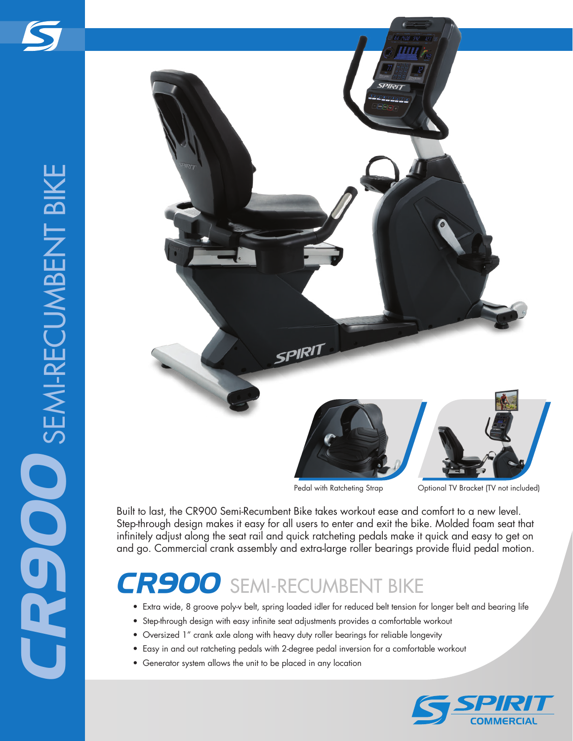

Pedal with Ratcheting Strap **Optional TV Bracket (TV not included)** 

Built to last, the CR900 Semi-Recumbent Bike takes workout ease and comfort to a new level. Step-through design makes it easy for all users to enter and exit the bike. Molded foam seat that infinitely adjust along the seat rail and quick ratcheting pedals make it quick and easy to get on and go. Commercial crank assembly and extra-large roller bearings provide fluid pedal motion.

## *CR900* SEMI-RECUMBENT BIKE

- Extra wide, 8 groove poly-v belt, spring loaded idler for reduced belt tension for longer belt and bearing life
- Step-through design with easy infinite seat adjustments provides a comfortable workout
- Oversized 1" crank axle along with heavy duty roller bearings for reliable longevity
- Easy in and out ratcheting pedals with 2-degree pedal inversion for a comfortable workout
- Generator system allows the unit to be placed in any location